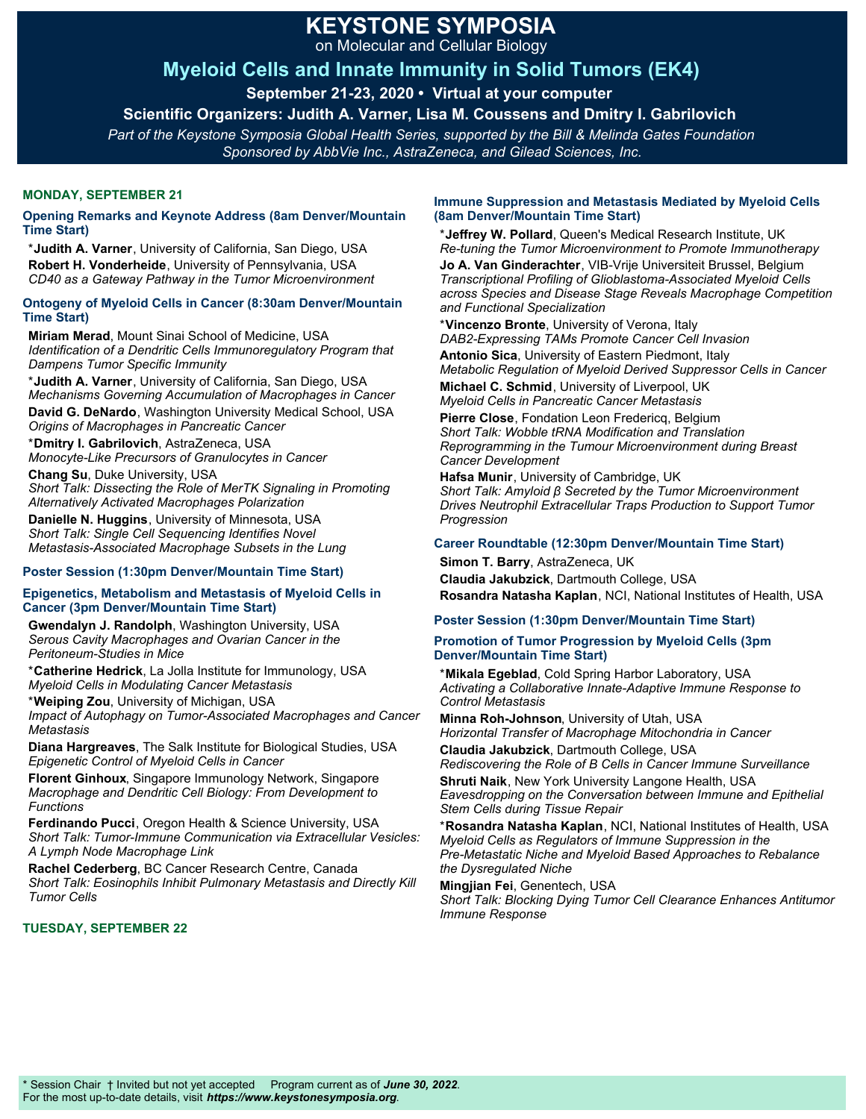# **KEYSTONE SYMPOSIA**

on Molecular and Cellular Biology

## **Myeloid Cells and Innate Immunity in Solid Tumors (EK4)**

**September 21-23, 2020 • Virtual at your computer** 

**Scientific Organizers: Judith A. Varner, Lisa M. Coussens and Dmitry I. Gabrilovich** 

*Part of the Keystone Symposia Global Health Series, supported by the Bill & Melinda Gates Foundation Sponsored by AbbVie Inc., AstraZeneca, and Gilead Sciences, Inc.*

#### **MONDAY, SEPTEMBER 21**

#### **Opening Remarks and Keynote Address (8am Denver/Mountain Time Start)**

\***Judith A. Varner**, University of California, San Diego, USA **Robert H. Vonderheide**, University of Pennsylvania, USA *CD40 as a Gateway Pathway in the Tumor Microenvironment*

#### **Ontogeny of Myeloid Cells in Cancer (8:30am Denver/Mountain Time Start)**

**Miriam Merad**, Mount Sinai School of Medicine, USA *Identification of a Dendritic Cells Immunoregulatory Program that Dampens Tumor Specific Immunity*

\***Judith A. Varner**, University of California, San Diego, USA *Mechanisms Governing Accumulation of Macrophages in Cancer*

**David G. DeNardo**, Washington University Medical School, USA *Origins of Macrophages in Pancreatic Cancer*

\***Dmitry I. Gabrilovich**, AstraZeneca, USA *Monocyte-Like Precursors of Granulocytes in Cancer*

**Chang Su**, Duke University, USA *Short Talk: Dissecting the Role of MerTK Signaling in Promoting Alternatively Activated Macrophages Polarization* 

**Danielle N. Huggins**, University of Minnesota, USA *Short Talk: Single Cell Sequencing Identifies Novel Metastasis-Associated Macrophage Subsets in the Lung*

#### **Poster Session (1:30pm Denver/Mountain Time Start)**

#### **Epigenetics, Metabolism and Metastasis of Myeloid Cells in Cancer (3pm Denver/Mountain Time Start)**

**Gwendalyn J. Randolph**, Washington University, USA *Serous Cavity Macrophages and Ovarian Cancer in the Peritoneum-Studies in Mice*

\***Catherine Hedrick**, La Jolla Institute for Immunology, USA *Myeloid Cells in Modulating Cancer Metastasis*

\***Weiping Zou**, University of Michigan, USA *Impact of Autophagy on Tumor-Associated Macrophages and Cancer Metastasis*

**Diana Hargreaves**, The Salk Institute for Biological Studies, USA *Epigenetic Control of Myeloid Cells in Cancer*

**Florent Ginhoux**, Singapore Immunology Network, Singapore *Macrophage and Dendritic Cell Biology: From Development to Functions*

**Ferdinando Pucci**, Oregon Health & Science University, USA *Short Talk: Tumor-Immune Communication via Extracellular Vesicles: A Lymph Node Macrophage Link*

**Rachel Cederberg**, BC Cancer Research Centre, Canada *Short Talk: Eosinophils Inhibit Pulmonary Metastasis and Directly Kill Tumor Cells*

#### **TUESDAY, SEPTEMBER 22**

#### **Immune Suppression and Metastasis Mediated by Myeloid Cells (8am Denver/Mountain Time Start)**

\***Jeffrey W. Pollard**, Queen's Medical Research Institute, UK *Re-tuning the Tumor Microenvironment to Promote Immunotherapy* **Jo A. Van Ginderachter**, VIB-Vrije Universiteit Brussel, Belgium *Transcriptional Profiling of Glioblastoma-Associated Myeloid Cells across Species and Disease Stage Reveals Macrophage Competition and Functional Specialization*

\***Vincenzo Bronte**, University of Verona, Italy *DAB2-Expressing TAMs Promote Cancer Cell Invasion*

**Antonio Sica**, University of Eastern Piedmont, Italy *Metabolic Regulation of Myeloid Derived Suppressor Cells in Cancer*  **Michael C. Schmid**, University of Liverpool, UK

*Myeloid Cells in Pancreatic Cancer Metastasis*

**Pierre Close**, Fondation Leon Fredericq, Belgium *Short Talk: Wobble tRNA Modification and Translation Reprogramming in the Tumour Microenvironment during Breast Cancer Development*

**Hafsa Munir**, University of Cambridge, UK *Short Talk: Amyloid β Secreted by the Tumor Microenvironment Drives Neutrophil Extracellular Traps Production to Support Tumor Progression*

#### **Career Roundtable (12:30pm Denver/Mountain Time Start)**

**Simon T. Barry**, AstraZeneca, UK

**Claudia Jakubzick**, Dartmouth College, USA **Rosandra Natasha Kaplan**, NCI, National Institutes of Health, USA

#### **Poster Session (1:30pm Denver/Mountain Time Start)**

### **Promotion of Tumor Progression by Myeloid Cells (3pm Denver/Mountain Time Start)**

\***Mikala Egeblad**, Cold Spring Harbor Laboratory, USA *Activating a Collaborative Innate-Adaptive Immune Response to Control Metastasis*

**Minna Roh-Johnson**, University of Utah, USA *Horizontal Transfer of Macrophage Mitochondria in Cancer*

**Claudia Jakubzick**, Dartmouth College, USA *Rediscovering the Role of B Cells in Cancer Immune Surveillance*

**Shruti Naik**, New York University Langone Health, USA

*Eavesdropping on the Conversation between Immune and Epithelial Stem Cells during Tissue Repair*

\***Rosandra Natasha Kaplan**, NCI, National Institutes of Health, USA *Myeloid Cells as Regulators of Immune Suppression in the Pre-Metastatic Niche and Myeloid Based Approaches to Rebalance the Dysregulated Niche*

**Mingjian Fei**, Genentech, USA *Short Talk: Blocking Dying Tumor Cell Clearance Enhances Antitumor Immune Response*